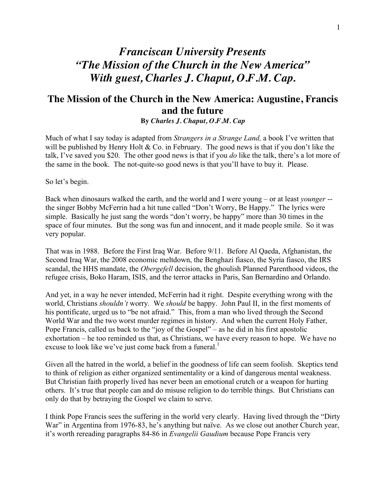## *Franciscan University Presents "The Mission of the Church in the New America" With guest, Charles J. Chaput, O.F.M. Cap.*

## **The Mission of the Church in the New America: Augustine, Francis and the future**

**By** *Charles J. Chaput, O.F.M. Cap*

Much of what I say today is adapted from *Strangers in a Strange Land,* a book I've written that will be published by Henry Holt  $& Co.$  in February. The good news is that if you don't like the talk, I've saved you \$20. The other good news is that if you *do* like the talk, there's a lot more of the same in the book. The not-quite-so good news is that you'll have to buy it. Please.

So let's begin.

Back when dinosaurs walked the earth, and the world and I were young – or at least *younger* - the singer Bobby McFerrin had a hit tune called "Don't Worry, Be Happy." The lyrics were simple. Basically he just sang the words "don't worry, be happy" more than 30 times in the space of four minutes. But the song was fun and innocent, and it made people smile. So it was very popular.

That was in 1988. Before the First Iraq War. Before 9/11. Before Al Qaeda, Afghanistan, the Second Iraq War, the 2008 economic meltdown, the Benghazi fiasco, the Syria fiasco, the IRS scandal, the HHS mandate, the *Obergefell* decision, the ghoulish Planned Parenthood videos, the refugee crisis, Boko Haram, ISIS, and the terror attacks in Paris, San Bernardino and Orlando.

And yet, in a way he never intended, McFerrin had it right. Despite everything wrong with the world, Christians *shouldn't* worry. We *should* be happy. John Paul II, in the first moments of his pontificate, urged us to "be not afraid." This, from a man who lived through the Second World War and the two worst murder regimes in history. And when the current Holy Father, Pope Francis, called us back to the "joy of the Gospel" – as he did in his first apostolic exhortation – he too reminded us that, as Christians, we have every reason to hope. We have no excuse to look like we've just come back from a funeral.<sup>1</sup>

Given all the hatred in the world, a belief in the goodness of life can seem foolish. Skeptics tend to think of religion as either organized sentimentality or a kind of dangerous mental weakness. But Christian faith properly lived has never been an emotional crutch or a weapon for hurting others. It's true that people can and do misuse religion to do terrible things. But Christians can only do that by betraying the Gospel we claim to serve.

I think Pope Francis sees the suffering in the world very clearly. Having lived through the "Dirty War" in Argentina from 1976-83, he's anything but naïve. As we close out another Church year, it's worth rereading paragraphs 84-86 in *Evangelii Gaudium* because Pope Francis very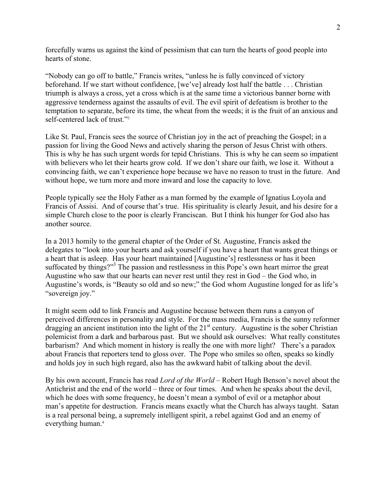forcefully warns us against the kind of pessimism that can turn the hearts of good people into hearts of stone.

"Nobody can go off to battle," Francis writes, "unless he is fully convinced of victory beforehand. If we start without confidence, [we've] already lost half the battle . . . Christian triumph is always a cross, yet a cross which is at the same time a victorious banner borne with aggressive tenderness against the assaults of evil. The evil spirit of defeatism is brother to the temptation to separate, before its time, the wheat from the weeds; it is the fruit of an anxious and self-centered lack of trust."2

Like St. Paul, Francis sees the source of Christian joy in the act of preaching the Gospel; in a passion for living the Good News and actively sharing the person of Jesus Christ with others. This is why he has such urgent words for tepid Christians. This is why he can seem so impatient with believers who let their hearts grow cold. If we don't share our faith, we lose it. Without a convincing faith, we can't experience hope because we have no reason to trust in the future. And without hope, we turn more and more inward and lose the capacity to love.

People typically see the Holy Father as a man formed by the example of Ignatius Loyola and Francis of Assisi. And of course that's true. His spirituality is clearly Jesuit, and his desire for a simple Church close to the poor is clearly Franciscan. But I think his hunger for God also has another source.

In a 2013 homily to the general chapter of the Order of St. Augustine, Francis asked the delegates to "look into your hearts and ask yourself if you have a heart that wants great things or a heart that is asleep. Has your heart maintained [Augustine's] restlessness or has it been suffocated by things?"<sup>3</sup> The passion and restlessness in this Pope's own heart mirror the great Augustine who saw that our hearts can never rest until they rest in God – the God who, in Augustine's words, is "Beauty so old and so new;" the God whom Augustine longed for as life's "sovereign joy."

It might seem odd to link Francis and Augustine because between them runs a canyon of perceived differences in personality and style. For the mass media, Francis is the sunny reformer dragging an ancient institution into the light of the  $21<sup>st</sup>$  century. Augustine is the sober Christian polemicist from a dark and barbarous past. But we should ask ourselves: What really constitutes barbarism? And which moment in history is really the one with more light? There's a paradox about Francis that reporters tend to gloss over. The Pope who smiles so often, speaks so kindly and holds joy in such high regard, also has the awkward habit of talking about the devil.

By his own account, Francis has read *Lord of the World* – Robert Hugh Benson's novel about the Antichrist and the end of the world – three or four times. And when he speaks about the devil, which he does with some frequency, he doesn't mean a symbol of evil or a metaphor about man's appetite for destruction. Francis means exactly what the Church has always taught. Satan is a real personal being, a supremely intelligent spirit, a rebel against God and an enemy of everything human. 4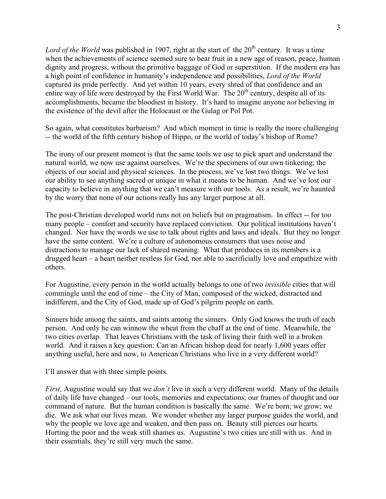*Lord of the World* was published in 1907, right at the start of the 20<sup>th</sup> century. It was a time when the achievements of science seemed sure to bear fruit in a new age of reason, peace, human dignity and progress, without the primitive baggage of God or superstition. If the modern era has a high point of confidence in humanity's independence and possibilities, *Lord of the World* captured its pride perfectly. And yet within 10 years, every shred of that confidence and an entire way of life were destroyed by the First World War. The 20<sup>th</sup> century, despite all of its accomplishments, became the bloodiest in history. It's hard to imagine anyone *not* believing in the existence of the devil after the Holocaust or the Gulag or Pol Pot.

So again, what constitutes barbarism? And which moment in time is really the more challenging -- the world of the fifth century bishop of Hippo, or the world of today's bishop of Rome?

The irony of our present moment is that the same tools we use to pick apart and understand the natural world, we now use against ourselves. We're the specimens of our own tinkering; the objects of our social and physical sciences. In the process, we've lost two things. We've lost our ability to see anything sacred or unique in what it means to be human. And we've lost our capacity to believe in anything that we can't measure with our tools. As a result, we're haunted by the worry that none of our actions really has any larger purpose at all.

The post-Christian developed world runs not on beliefs but on pragmatism. In effect -- for too many people – comfort and security have replaced conviction. Our political institutions haven't changed. Nor have the words we use to talk about rights and laws and ideals. But they no longer have the same content. We're a culture of autonomous consumers that uses noise and distractions to manage our lack of shared meaning. What that produces in its members is a drugged heart – a heart neither restless for God, nor able to sacrificially love and empathize with others.

For Augustine, every person in the world actually belongs to one of two *invisible* cities that will commingle until the end of time – the City of Man, composed of the wicked, distracted and indifferent, and the City of God, made up of God's pilgrim people on earth.

Sinners hide among the saints, and saints among the sinners. Only God knows the truth of each person. And only he can winnow the wheat from the chaff at the end of time. Meanwhile, the two cities overlap. That leaves Christians with the task of living their faith well in a broken world. And it raises a key question: Can an African bishop dead for nearly 1,600 years offer anything useful, here and now, to American Christians who live in a very different world?

I'll answer that with three simple points.

*First,* Augustine would say that we *don't* live in such a very different world. Many of the details of daily life have changed – our tools, memories and expectations; our frames of thought and our command of nature. But the human condition is basically the same. We're born; we grow; we die. We ask what our lives mean. We wonder whether any larger purpose guides the world, and why the people we love age and weaken, and then pass on. Beauty still pierces our hearts. Hurting the poor and the weak still shames us. Augustine's two cities are still with us. And in their essentials, they're still very much the same.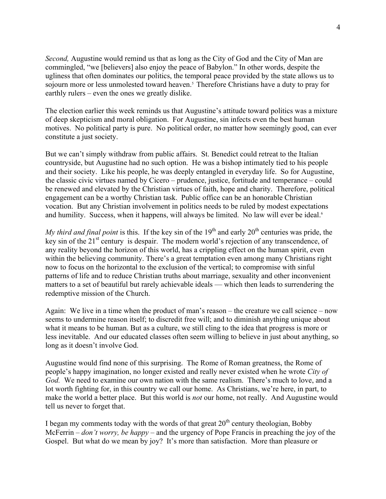*Second,* Augustine would remind us that as long as the City of God and the City of Man are commingled, "we [believers] also enjoy the peace of Babylon." In other words, despite the ugliness that often dominates our politics, the temporal peace provided by the state allows us to sojourn more or less unmolested toward heaven.<sup>5</sup> Therefore Christians have a duty to pray for earthly rulers – even the ones we greatly dislike.

The election earlier this week reminds us that Augustine's attitude toward politics was a mixture of deep skepticism and moral obligation. For Augustine, sin infects even the best human motives. No political party is pure. No political order, no matter how seemingly good, can ever constitute a just society.

But we can't simply withdraw from public affairs. St. Benedict could retreat to the Italian countryside, but Augustine had no such option. He was a bishop intimately tied to his people and their society. Like his people, he was deeply entangled in everyday life. So for Augustine, the classic civic virtues named by Cicero – prudence, justice, fortitude and temperance – could be renewed and elevated by the Christian virtues of faith, hope and charity. Therefore, political engagement can be a worthy Christian task. Public office can be an honorable Christian vocation. But any Christian involvement in politics needs to be ruled by modest expectations and humility. Success, when it happens, will always be limited. No law will ever be ideal.<sup>6</sup>

*My third and final point* is this. If the key sin of the  $19<sup>th</sup>$  and early  $20<sup>th</sup>$  centuries was pride, the key sin of the 21<sup>st</sup> century is despair. The modern world's rejection of any transcendence, of any reality beyond the horizon of this world, has a crippling effect on the human spirit, even within the believing community. There's a great temptation even among many Christians right now to focus on the horizontal to the exclusion of the vertical; to compromise with sinful patterns of life and to reduce Christian truths about marriage, sexuality and other inconvenient matters to a set of beautiful but rarely achievable ideals — which then leads to surrendering the redemptive mission of the Church.

Again: We live in a time when the product of man's reason – the creature we call science – now seems to undermine reason itself; to discredit free will; and to diminish anything unique about what it means to be human. But as a culture, we still cling to the idea that progress is more or less inevitable. And our educated classes often seem willing to believe in just about anything, so long as it doesn't involve God.

Augustine would find none of this surprising. The Rome of Roman greatness, the Rome of people's happy imagination, no longer existed and really never existed when he wrote *City of God.* We need to examine our own nation with the same realism. There's much to love, and a lot worth fighting for, in this country we call our home. As Christians, we're here, in part, to make the world a better place. But this world is *not* our home, not really. And Augustine would tell us never to forget that.

I began my comments today with the words of that great  $20<sup>th</sup>$  century theologian, Bobby McFerrin – *don't worry, be happy –* and the urgency of Pope Francis in preaching the joy of the Gospel. But what do we mean by joy? It's more than satisfaction. More than pleasure or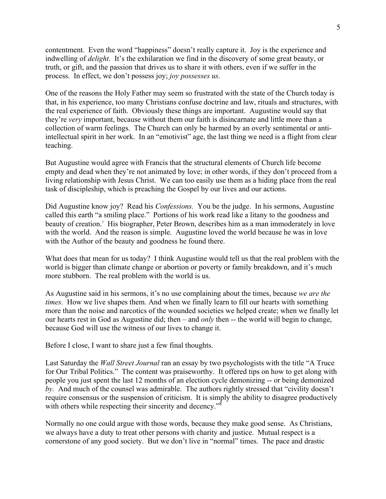contentment. Even the word "happiness" doesn't really capture it. Joy is the experience and indwelling of *delight*. It's the exhilaration we find in the discovery of some great beauty, or truth, or gift, and the passion that drives us to share it with others, even if we suffer in the process. In effect, we don't possess joy; *joy possesses us.*

One of the reasons the Holy Father may seem so frustrated with the state of the Church today is that, in his experience, too many Christians confuse doctrine and law, rituals and structures, with the real experience of faith. Obviously these things are important. Augustine would say that they're *very* important, because without them our faith is disincarnate and little more than a collection of warm feelings. The Church can only be harmed by an overly sentimental or antiintellectual spirit in her work. In an "emotivist" age, the last thing we need is a flight from clear teaching.

But Augustine would agree with Francis that the structural elements of Church life become empty and dead when they're not animated by love; in other words, if they don't proceed from a living relationship with Jesus Christ. We can too easily use them as a hiding place from the real task of discipleship, which is preaching the Gospel by our lives and our actions.

Did Augustine know joy? Read his *Confessions.* You be the judge. In his sermons, Augustine called this earth "a smiling place." Portions of his work read like a litany to the goodness and beauty of creation.7 His biographer, Peter Brown, describes him as a man immoderately in love with the world. And the reason is simple. Augustine loved the world because he was in love with the Author of the beauty and goodness he found there.

What does that mean for us today? I think Augustine would tell us that the real problem with the world is bigger than climate change or abortion or poverty or family breakdown, and it's much more stubborn. The real problem with the world is us.

As Augustine said in his sermons, it's no use complaining about the times, because *we are the times.* How we live shapes them. And when we finally learn to fill our hearts with something more than the noise and narcotics of the wounded societies we helped create; when we finally let our hearts rest in God as Augustine did; then – and *only* then -- the world will begin to change, because God will use the witness of our lives to change it.

Before I close, I want to share just a few final thoughts.

Last Saturday the *Wall Street Journal* ran an essay by two psychologists with the title "A Truce for Our Tribal Politics." The content was praiseworthy. It offered tips on how to get along with people you just spent the last 12 months of an election cycle demonizing -- or being demonized *by.* And much of the counsel was admirable. The authors rightly stressed that "civility doesn't require consensus or the suspension of criticism. It is simply the ability to disagree productively with others while respecting their sincerity and decency."<sup>8</sup>

Normally no one could argue with those words, because they make good sense. As Christians, we always have a duty to treat other persons with charity and justice. Mutual respect is a cornerstone of any good society. But we don't live in "normal" times. The pace and drastic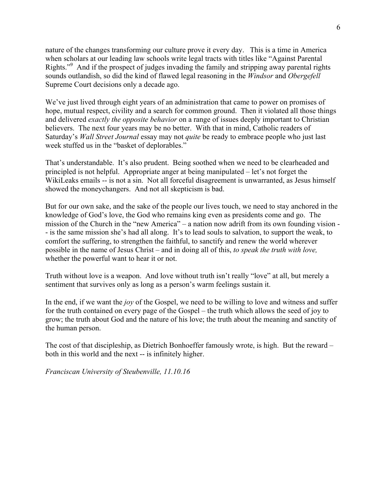nature of the changes transforming our culture prove it every day. This is a time in America when scholars at our leading law schools write legal tracts with titles like "Against Parental Rights."<sup>9</sup> And if the prospect of judges invading the family and stripping away parental rights sounds outlandish, so did the kind of flawed legal reasoning in the *Windsor* and *Obergefell* Supreme Court decisions only a decade ago.

We've just lived through eight years of an administration that came to power on promises of hope, mutual respect, civility and a search for common ground. Then it violated all those things and delivered *exactly the opposite behavior* on a range of issues deeply important to Christian believers. The next four years may be no better. With that in mind, Catholic readers of Saturday's *Wall Street Journal* essay may not *quite* be ready to embrace people who just last week stuffed us in the "basket of deplorables."

That's understandable. It's also prudent. Being soothed when we need to be clearheaded and principled is not helpful. Appropriate anger at being manipulated – let's not forget the WikiLeaks emails -- is not a sin. Not all forceful disagreement is unwarranted, as Jesus himself showed the moneychangers. And not all skepticism is bad.

But for our own sake, and the sake of the people our lives touch, we need to stay anchored in the knowledge of God's love, the God who remains king even as presidents come and go. The mission of the Church in the "new America" – a nation now adrift from its own founding vision - - is the same mission she's had all along. It's to lead souls to salvation, to support the weak, to comfort the suffering, to strengthen the faithful, to sanctify and renew the world wherever possible in the name of Jesus Christ – and in doing all of this, *to speak the truth with love,* whether the powerful want to hear it or not.

Truth without love is a weapon. And love without truth isn't really "love" at all, but merely a sentiment that survives only as long as a person's warm feelings sustain it.

In the end, if we want the *joy* of the Gospel, we need to be willing to love and witness and suffer for the truth contained on every page of the Gospel – the truth which allows the seed of joy to grow; the truth about God and the nature of his love; the truth about the meaning and sanctity of the human person.

The cost of that discipleship, as Dietrich Bonhoeffer famously wrote, is high. But the reward – both in this world and the next -- is infinitely higher.

*Franciscan University of Steubenville, 11.10.16*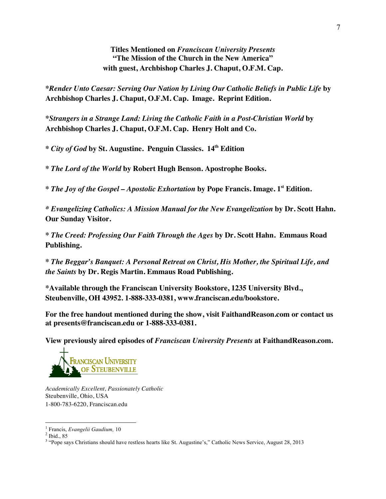**Titles Mentioned on** *Franciscan University Presents* **"The Mission of the Church in the New America" with guest, Archbishop Charles J. Chaput, O.F.M. Cap.**

**\****Render Unto Caesar: Serving Our Nation by Living Our Catholic Beliefs in Public Life* **by Archbishop Charles J. Chaput, O.F.M. Cap. Image. Reprint Edition.**

**\****Strangers in a Strange Land: Living the Catholic Faith in a Post-Christian World* **by Archbishop Charles J. Chaput, O.F.M. Cap. Henry Holt and Co.** 

**\*** *City of God* **by St. Augustine. Penguin Classics. 14th Edition**

**\*** *The Lord of the World* **by Robert Hugh Benson. Apostrophe Books.**

**\*** *The Joy of the Gospel – Apostolic Exhortation* **by Pope Francis. Image. 1st Edition.**

*\* Evangelizing Catholics: A Mission Manual for the New Evangelization* **by Dr. Scott Hahn. Our Sunday Visitor.**

**\*** *The Creed: Professing Our Faith Through the Ages* **by Dr. Scott Hahn. Emmaus Road Publishing.**

**\*** *The Beggar's Banquet: A Personal Retreat on Christ, His Mother, the Spiritual Life, and the Saints* **by Dr. Regis Martin. Emmaus Road Publishing.** 

**\*Available through the Franciscan University Bookstore, 1235 University Blvd., Steubenville, OH 43952. 1-888-333-0381, www.franciscan.edu/bookstore.** 

**For the free handout mentioned during the show, visit FaithandReason.com or contact us at presents@franciscan.edu or 1-888-333-0381.** 

**View previously aired episodes of** *Franciscan University Presents* **at FaithandReason.com.** 



*Academically Excellent, Passionately Catholic* Steubenville, Ohio, USA 1-800-783-6220, Franciscan.edu

<u> 1989 - Johann Stein, fransk politik (d. 1989)</u>

<sup>1</sup> Francis, *Evangelii Gaudium,* <sup>10</sup> <sup>2</sup> Ibid., 85

<sup>&</sup>lt;sup>3</sup> "Pope says Christians should have restless hearts like St. Augustine's," Catholic News Service, August 28, 2013